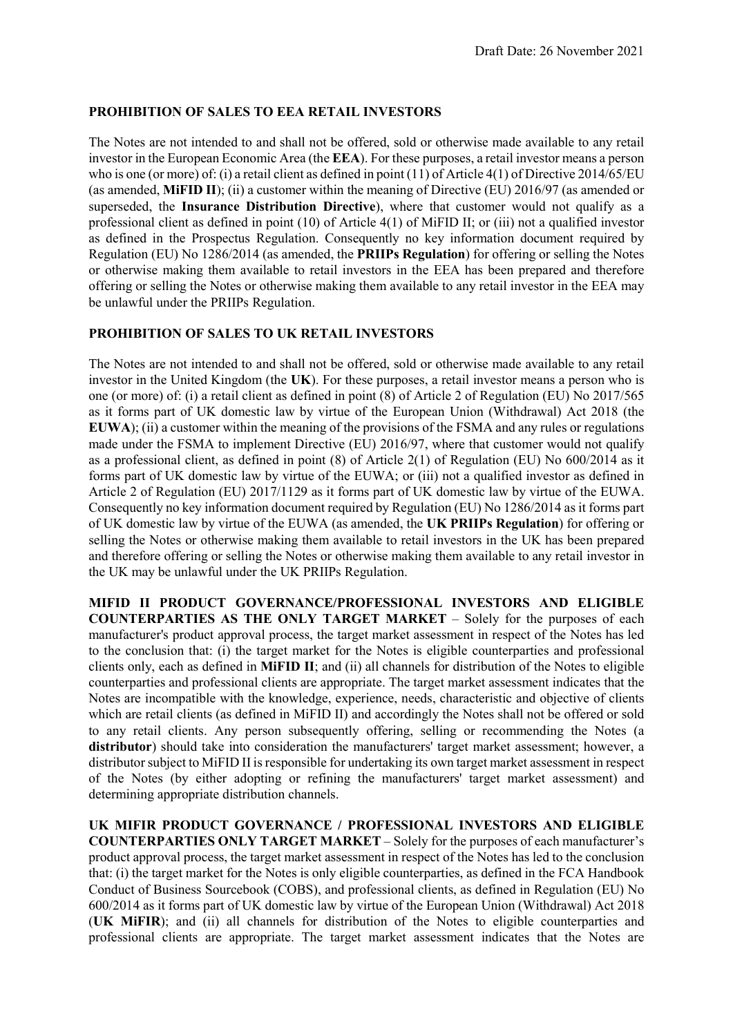# PROHIBITION OF SALES TO EEA RETAIL INVESTORS

The Notes are not intended to and shall not be offered, sold or otherwise made available to any retail investor in the European Economic Area (the EEA). For these purposes, a retail investor means a person who is one (or more) of: (i) a retail client as defined in point (11) of Article 4(1) of Directive 2014/65/EU (as amended, MiFID II); (ii) a customer within the meaning of Directive (EU) 2016/97 (as amended or superseded, the Insurance Distribution Directive), where that customer would not qualify as a professional client as defined in point (10) of Article 4(1) of MiFID II; or (iii) not a qualified investor as defined in the Prospectus Regulation. Consequently no key information document required by Regulation (EU) No 1286/2014 (as amended, the PRIIPs Regulation) for offering or selling the Notes or otherwise making them available to retail investors in the EEA has been prepared and therefore offering or selling the Notes or otherwise making them available to any retail investor in the EEA may be unlawful under the PRIIPs Regulation.

## PROHIBITION OF SALES TO UK RETAIL INVESTORS

The Notes are not intended to and shall not be offered, sold or otherwise made available to any retail investor in the United Kingdom (the UK). For these purposes, a retail investor means a person who is one (or more) of: (i) a retail client as defined in point (8) of Article 2 of Regulation (EU) No 2017/565 as it forms part of UK domestic law by virtue of the European Union (Withdrawal) Act 2018 (the EUWA); (ii) a customer within the meaning of the provisions of the FSMA and any rules or regulations made under the FSMA to implement Directive (EU) 2016/97, where that customer would not qualify as a professional client, as defined in point (8) of Article 2(1) of Regulation (EU) No 600/2014 as it forms part of UK domestic law by virtue of the EUWA; or (iii) not a qualified investor as defined in Article 2 of Regulation (EU) 2017/1129 as it forms part of UK domestic law by virtue of the EUWA. Consequently no key information document required by Regulation (EU) No 1286/2014 as it forms part of UK domestic law by virtue of the EUWA (as amended, the UK PRIIPs Regulation) for offering or selling the Notes or otherwise making them available to retail investors in the UK has been prepared and therefore offering or selling the Notes or otherwise making them available to any retail investor in the UK may be unlawful under the UK PRIIPs Regulation.

MIFID II PRODUCT GOVERNANCE/PROFESSIONAL INVESTORS AND ELIGIBLE COUNTERPARTIES AS THE ONLY TARGET MARKET – Solely for the purposes of each manufacturer's product approval process, the target market assessment in respect of the Notes has led to the conclusion that: (i) the target market for the Notes is eligible counterparties and professional clients only, each as defined in MiFID II; and (ii) all channels for distribution of the Notes to eligible counterparties and professional clients are appropriate. The target market assessment indicates that the Notes are incompatible with the knowledge, experience, needs, characteristic and objective of clients which are retail clients (as defined in MiFID II) and accordingly the Notes shall not be offered or sold to any retail clients. Any person subsequently offering, selling or recommending the Notes (a distributor) should take into consideration the manufacturers' target market assessment; however, a distributor subject to MiFID II is responsible for undertaking its own target market assessment in respect of the Notes (by either adopting or refining the manufacturers' target market assessment) and determining appropriate distribution channels.

UK MIFIR PRODUCT GOVERNANCE / PROFESSIONAL INVESTORS AND ELIGIBLE COUNTERPARTIES ONLY TARGET MARKET – Solely for the purposes of each manufacturer's product approval process, the target market assessment in respect of the Notes has led to the conclusion that: (i) the target market for the Notes is only eligible counterparties, as defined in the FCA Handbook Conduct of Business Sourcebook (COBS), and professional clients, as defined in Regulation (EU) No 600/2014 as it forms part of UK domestic law by virtue of the European Union (Withdrawal) Act 2018 (UK MiFIR); and (ii) all channels for distribution of the Notes to eligible counterparties and professional clients are appropriate. The target market assessment indicates that the Notes are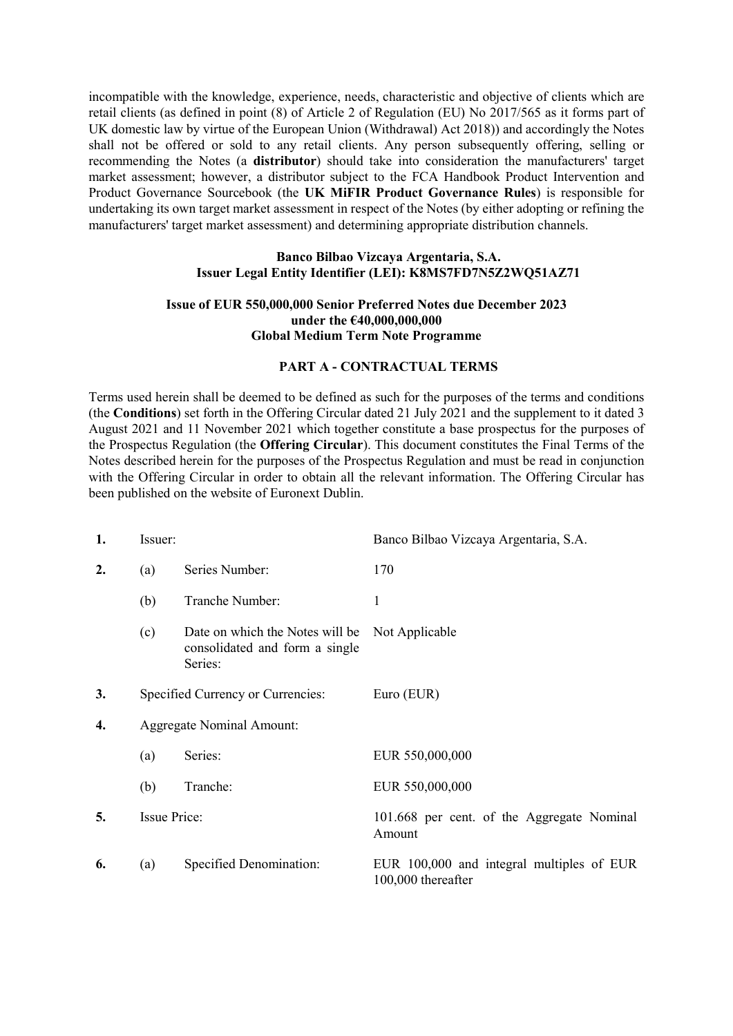incompatible with the knowledge, experience, needs, characteristic and objective of clients which are retail clients (as defined in point (8) of Article 2 of Regulation (EU) No 2017/565 as it forms part of UK domestic law by virtue of the European Union (Withdrawal) Act 2018)) and accordingly the Notes shall not be offered or sold to any retail clients. Any person subsequently offering, selling or recommending the Notes (a distributor) should take into consideration the manufacturers' target market assessment; however, a distributor subject to the FCA Handbook Product Intervention and Product Governance Sourcebook (the UK MiFIR Product Governance Rules) is responsible for undertaking its own target market assessment in respect of the Notes (by either adopting or refining the manufacturers' target market assessment) and determining appropriate distribution channels.

#### Banco Bilbao Vizcaya Argentaria, S.A. Issuer Legal Entity Identifier (LEI): K8MS7FD7N5Z2WQ51AZ71

#### Issue of EUR 550,000,000 Senior Preferred Notes due December 2023 under the €40,000,000,000 Global Medium Term Note Programme

#### PART A - CONTRACTUAL TERMS

Terms used herein shall be deemed to be defined as such for the purposes of the terms and conditions (the Conditions) set forth in the Offering Circular dated 21 July 2021 and the supplement to it dated 3 August 2021 and 11 November 2021 which together constitute a base prospectus for the purposes of the Prospectus Regulation (the Offering Circular). This document constitutes the Final Terms of the Notes described herein for the purposes of the Prospectus Regulation and must be read in conjunction with the Offering Circular in order to obtain all the relevant information. The Offering Circular has been published on the website of Euronext Dublin.

| 1.               | Issuer:                                                                                                                                |                                   | Banco Bilbao Vizcaya Argentaria, S.A.                           |
|------------------|----------------------------------------------------------------------------------------------------------------------------------------|-----------------------------------|-----------------------------------------------------------------|
| $\overline{2}$ . | Series Number:<br>(a)<br>Tranche Number:<br>(b)<br>(c)<br>Date on which the Notes will be<br>consolidated and form a single<br>Series: |                                   | 170                                                             |
|                  |                                                                                                                                        |                                   | 1                                                               |
|                  |                                                                                                                                        |                                   | Not Applicable                                                  |
| 3.               |                                                                                                                                        | Specified Currency or Currencies: | Euro (EUR)                                                      |
| 4.               | <b>Aggregate Nominal Amount:</b>                                                                                                       |                                   |                                                                 |
|                  | (a)                                                                                                                                    | Series:                           | EUR 550,000,000                                                 |
|                  | (b)                                                                                                                                    | Tranche:                          | EUR 550,000,000                                                 |
| 5.               | <b>Issue Price:</b>                                                                                                                    |                                   | 101.668 per cent. of the Aggregate Nominal<br>Amount            |
| 6.               | (a)                                                                                                                                    | Specified Denomination:           | EUR 100,000 and integral multiples of EUR<br>100,000 thereafter |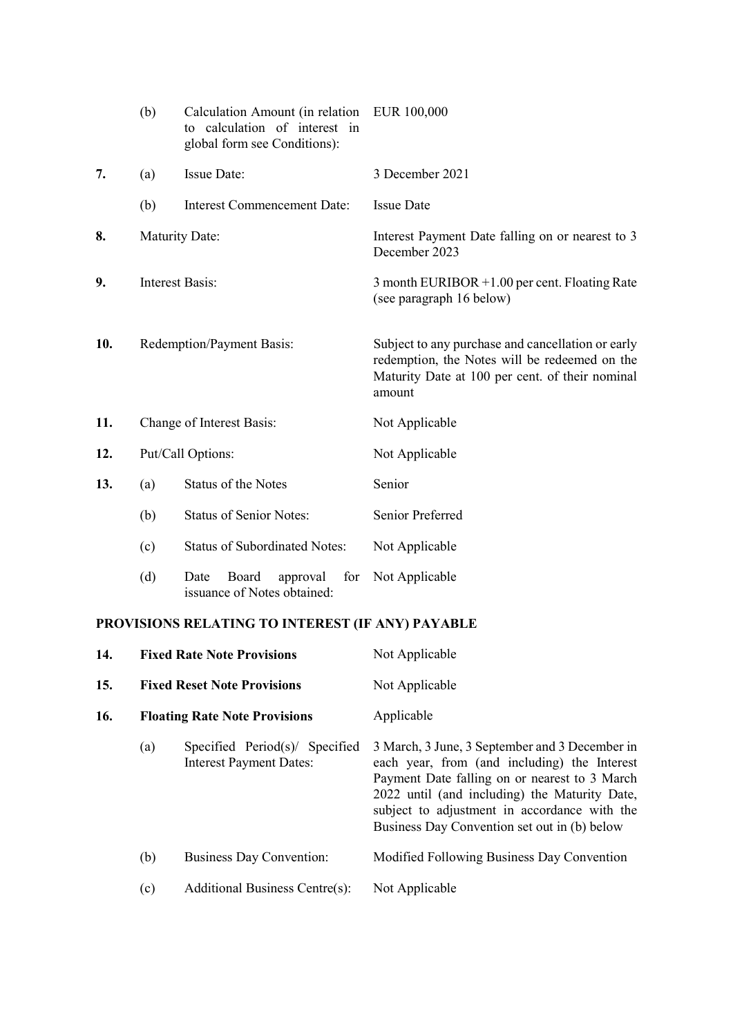|     | (b)                                                                                                                                                            | Calculation Amount (in relation<br>to calculation of interest in<br>global form see Conditions): | EUR 100,000                                                                                                                                                     |
|-----|----------------------------------------------------------------------------------------------------------------------------------------------------------------|--------------------------------------------------------------------------------------------------|-----------------------------------------------------------------------------------------------------------------------------------------------------------------|
| 7.  | Issue Date:<br>(a)                                                                                                                                             |                                                                                                  | 3 December 2021                                                                                                                                                 |
|     | (b)                                                                                                                                                            | <b>Interest Commencement Date:</b>                                                               | <b>Issue Date</b>                                                                                                                                               |
| 8.  |                                                                                                                                                                | <b>Maturity Date:</b>                                                                            | Interest Payment Date falling on or nearest to 3<br>December 2023                                                                                               |
| 9.  |                                                                                                                                                                | <b>Interest Basis:</b>                                                                           | 3 month EURIBOR +1.00 per cent. Floating Rate<br>(see paragraph 16 below)                                                                                       |
| 10. |                                                                                                                                                                | Redemption/Payment Basis:                                                                        | Subject to any purchase and cancellation or early<br>redemption, the Notes will be redeemed on the<br>Maturity Date at 100 per cent. of their nominal<br>amount |
| 11. |                                                                                                                                                                | Change of Interest Basis:                                                                        | Not Applicable                                                                                                                                                  |
| 12. |                                                                                                                                                                | Put/Call Options:                                                                                | Not Applicable                                                                                                                                                  |
| 13. | (a)                                                                                                                                                            | <b>Status of the Notes</b>                                                                       | Senior                                                                                                                                                          |
|     | <b>Status of Senior Notes:</b><br>(b)<br><b>Status of Subordinated Notes:</b><br>(c)<br>(d)<br>Board<br>approval<br>for<br>Date<br>issuance of Notes obtained: |                                                                                                  | Senior Preferred                                                                                                                                                |
|     |                                                                                                                                                                |                                                                                                  | Not Applicable                                                                                                                                                  |
|     |                                                                                                                                                                |                                                                                                  | Not Applicable                                                                                                                                                  |

# PROVISIONS RELATING TO INTEREST (IF ANY) PAYABLE

| 14. |                                                                                       | <b>Fixed Rate Note Provisions</b>    | Not Applicable                                                                                                                                                                                                                                                                                   |  |
|-----|---------------------------------------------------------------------------------------|--------------------------------------|--------------------------------------------------------------------------------------------------------------------------------------------------------------------------------------------------------------------------------------------------------------------------------------------------|--|
| 15. | <b>Fixed Reset Note Provisions</b>                                                    |                                      | Not Applicable                                                                                                                                                                                                                                                                                   |  |
| 16. |                                                                                       | <b>Floating Rate Note Provisions</b> | Applicable                                                                                                                                                                                                                                                                                       |  |
|     | Specified Period(s)/ Specified<br>$\left( a\right)$<br><b>Interest Payment Dates:</b> |                                      | 3 March, 3 June, 3 September and 3 December in<br>each year, from (and including) the Interest<br>Payment Date falling on or nearest to 3 March<br>2022 until (and including) the Maturity Date,<br>subject to adjustment in accordance with the<br>Business Day Convention set out in (b) below |  |
|     | (b)                                                                                   | <b>Business Day Convention:</b>      | Modified Following Business Day Convention                                                                                                                                                                                                                                                       |  |
|     | (c)                                                                                   | Additional Business Centre(s):       | Not Applicable                                                                                                                                                                                                                                                                                   |  |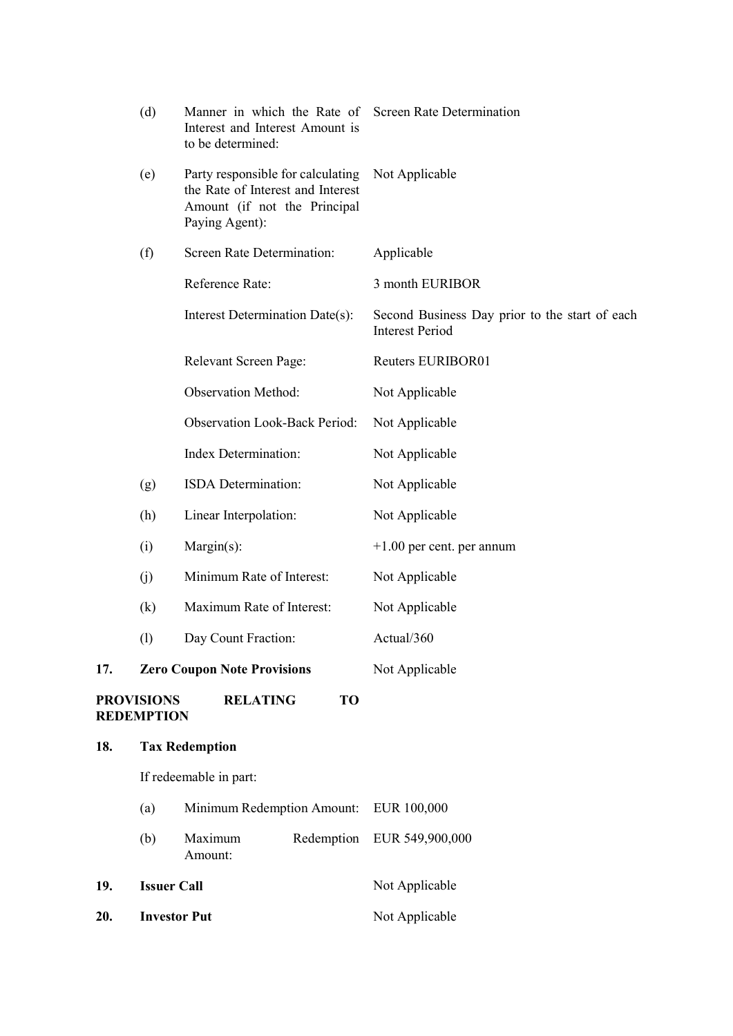| 18. |                                        | <b>Tax Redemption</b>                                                                                                    |                                                                          |
|-----|----------------------------------------|--------------------------------------------------------------------------------------------------------------------------|--------------------------------------------------------------------------|
|     | <b>PROVISIONS</b><br><b>REDEMPTION</b> | TO<br><b>RELATING</b>                                                                                                    |                                                                          |
| 17. |                                        | <b>Zero Coupon Note Provisions</b>                                                                                       | Not Applicable                                                           |
|     | (1)                                    | Day Count Fraction:                                                                                                      | Actual/360                                                               |
|     | (k)                                    | Maximum Rate of Interest:                                                                                                | Not Applicable                                                           |
|     | (j)                                    | Minimum Rate of Interest:                                                                                                | Not Applicable                                                           |
|     | (i)                                    | Margin(s):                                                                                                               | $+1.00$ per cent. per annum                                              |
|     | (h)                                    | Linear Interpolation:                                                                                                    | Not Applicable                                                           |
|     | (g)                                    | ISDA Determination:                                                                                                      | Not Applicable                                                           |
|     |                                        | Index Determination:                                                                                                     | Not Applicable                                                           |
|     |                                        | <b>Observation Look-Back Period:</b>                                                                                     | Not Applicable                                                           |
|     |                                        | <b>Observation Method:</b>                                                                                               | Not Applicable                                                           |
|     |                                        | Relevant Screen Page:                                                                                                    | Reuters EURIBOR01                                                        |
|     |                                        | Interest Determination Date(s):                                                                                          | Second Business Day prior to the start of each<br><b>Interest Period</b> |
|     |                                        | Reference Rate:                                                                                                          | 3 month EURIBOR                                                          |
|     | (f)                                    | Screen Rate Determination:                                                                                               | Applicable                                                               |
|     | (e)                                    | Party responsible for calculating<br>the Rate of Interest and Interest<br>Amount (if not the Principal<br>Paying Agent): | Not Applicable                                                           |
|     | (d)                                    | Manner in which the Rate of Screen Rate Determination<br>Interest and Interest Amount is<br>to be determined:            |                                                                          |

# If redeemable in part:

| Redemption EUR 549,900,000<br>Maximum<br>(b)<br>Amount: |
|---------------------------------------------------------|
|                                                         |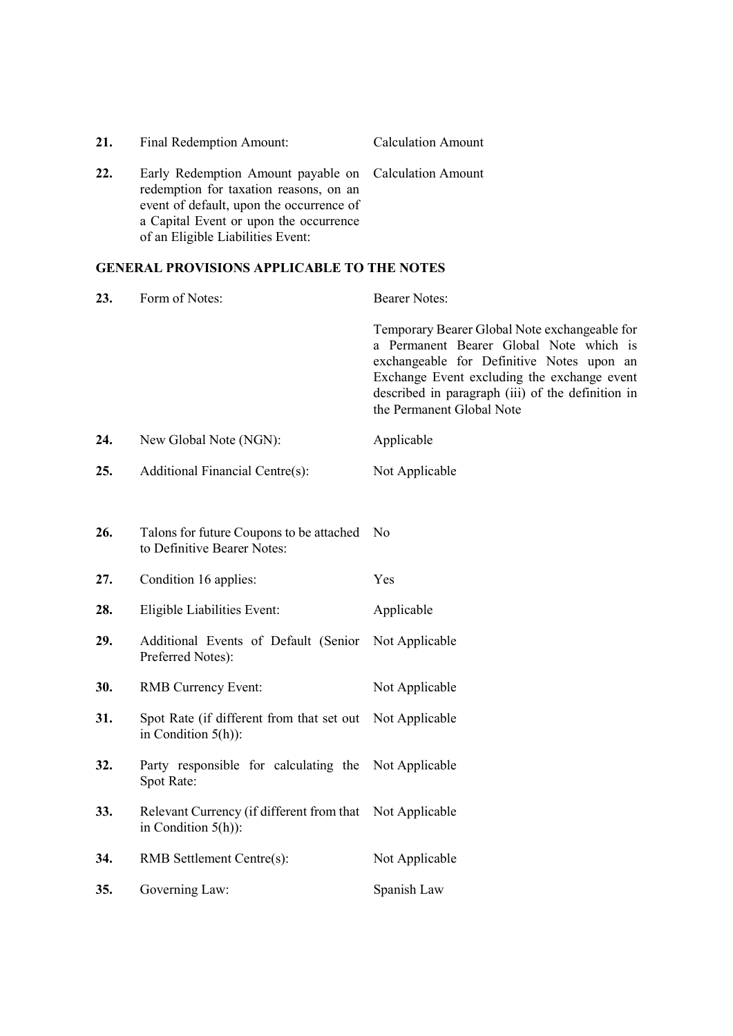| 21. | Final Redemption Amount:                                                                                                                                                                                                   | <b>Calculation Amount</b> |
|-----|----------------------------------------------------------------------------------------------------------------------------------------------------------------------------------------------------------------------------|---------------------------|
| 22. | Early Redemption Amount payable on Calculation Amount<br>redemption for taxation reasons, on an<br>event of default, upon the occurrence of<br>a Capital Event or upon the occurrence<br>of an Eligible Liabilities Event: |                           |

# GENERAL PROVISIONS APPLICABLE TO THE NOTES

| 23. | Form of Notes:                                                                    | <b>Bearer Notes:</b>                                                                                                                                                                                                                                                   |
|-----|-----------------------------------------------------------------------------------|------------------------------------------------------------------------------------------------------------------------------------------------------------------------------------------------------------------------------------------------------------------------|
|     |                                                                                   | Temporary Bearer Global Note exchangeable for<br>a Permanent Bearer Global Note which is<br>exchangeable for Definitive Notes upon an<br>Exchange Event excluding the exchange event<br>described in paragraph (iii) of the definition in<br>the Permanent Global Note |
| 24. | New Global Note (NGN):                                                            | Applicable                                                                                                                                                                                                                                                             |
| 25. | Additional Financial Centre(s):                                                   | Not Applicable                                                                                                                                                                                                                                                         |
|     |                                                                                   |                                                                                                                                                                                                                                                                        |
| 26. | Talons for future Coupons to be attached<br>to Definitive Bearer Notes:           | N <sub>0</sub>                                                                                                                                                                                                                                                         |
| 27. | Condition 16 applies:                                                             | Yes                                                                                                                                                                                                                                                                    |
| 28. | Eligible Liabilities Event:                                                       | Applicable                                                                                                                                                                                                                                                             |
| 29. | Additional Events of Default (Senior<br>Preferred Notes):                         | Not Applicable                                                                                                                                                                                                                                                         |
| 30. | <b>RMB</b> Currency Event:                                                        | Not Applicable                                                                                                                                                                                                                                                         |
| 31. | Spot Rate (if different from that set out<br>in Condition $5(h)$ :                | Not Applicable                                                                                                                                                                                                                                                         |
| 32. | Party responsible for calculating the Not Applicable<br>Spot Rate:                |                                                                                                                                                                                                                                                                        |
| 33. | Relevant Currency (if different from that Not Applicable<br>in Condition $5(h)$ : |                                                                                                                                                                                                                                                                        |
| 34. | RMB Settlement Centre(s):                                                         | Not Applicable                                                                                                                                                                                                                                                         |
| 35. | Governing Law:                                                                    | Spanish Law                                                                                                                                                                                                                                                            |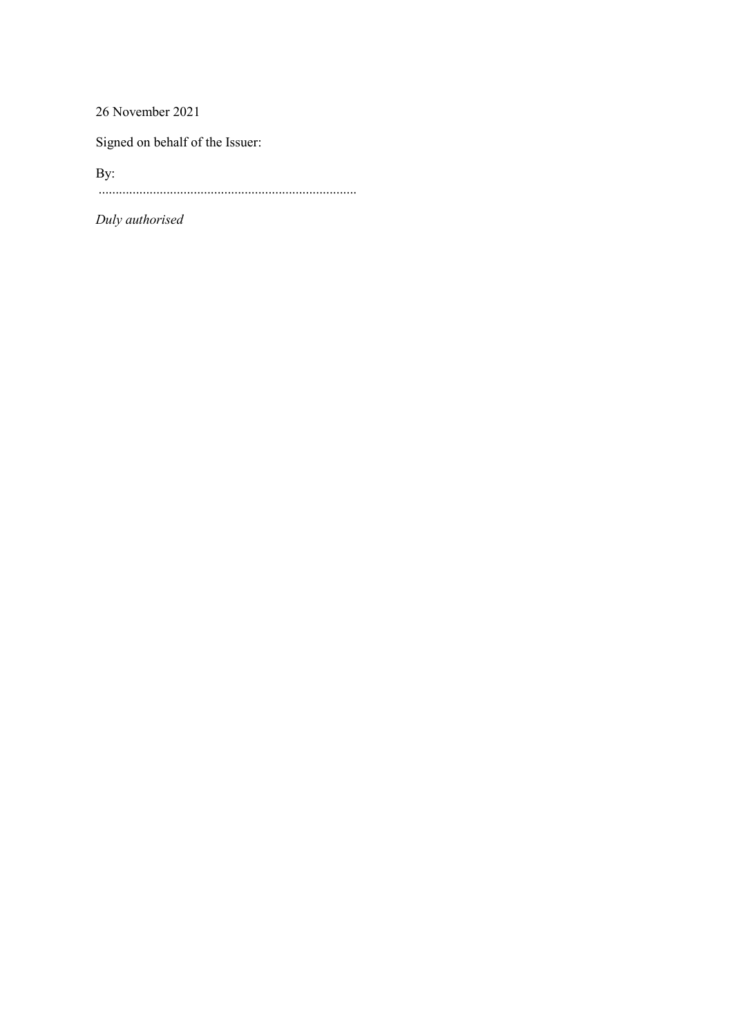26 November 2021

Signed on behalf of the Issuer:

By: ............................................................................

Duly authorised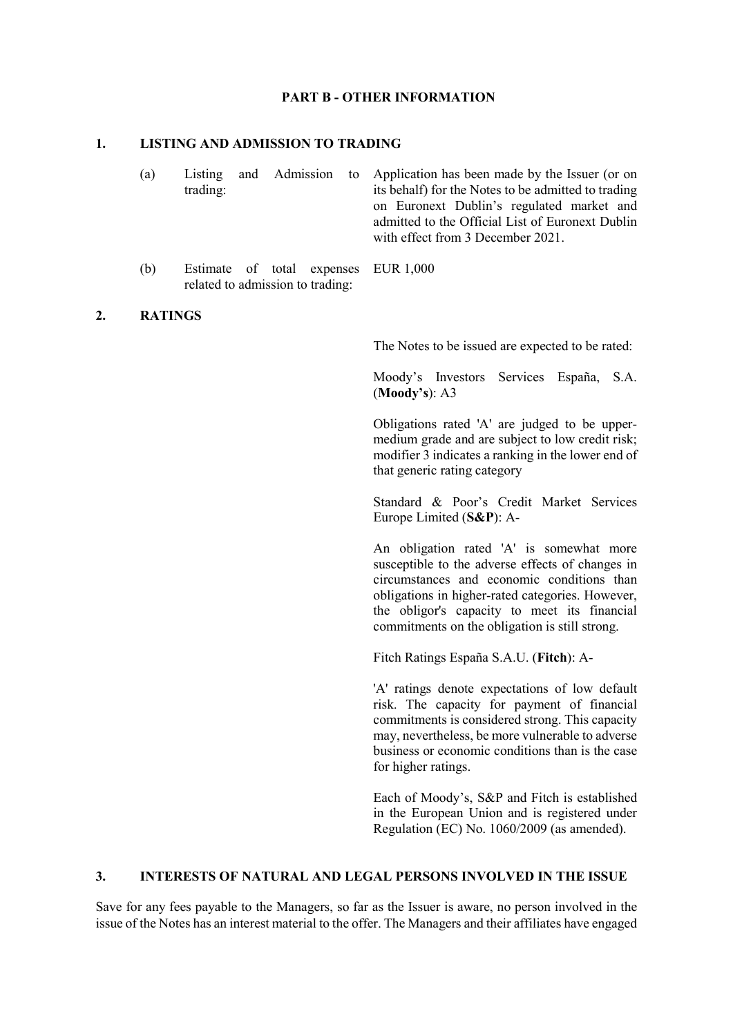#### PART B - OTHER INFORMATION

#### 1. LISTING AND ADMISSION TO TRADING

| (a) |          |  | Listing and Admission to Application has been made by the Issuer (or on |
|-----|----------|--|-------------------------------------------------------------------------|
|     | trading: |  | its behalf) for the Notes to be admitted to trading                     |
|     |          |  | on Euronext Dublin's regulated market and                               |
|     |          |  | admitted to the Official List of Euronext Dublin                        |
|     |          |  | with effect from 3 December 2021.                                       |

(b) Estimate of total expenses EUR 1,000 related to admission to trading:

#### 2. RATINGS

The Notes to be issued are expected to be rated:

Moody's Investors Services España, S.A. (Moody's): A3

Obligations rated 'A' are judged to be uppermedium grade and are subject to low credit risk; modifier 3 indicates a ranking in the lower end of that generic rating category

Standard & Poor's Credit Market Services Europe Limited (S&P): A-

An obligation rated 'A' is somewhat more susceptible to the adverse effects of changes in circumstances and economic conditions than obligations in higher-rated categories. However, the obligor's capacity to meet its financial commitments on the obligation is still strong.

Fitch Ratings España S.A.U. (Fitch): A-

'A' ratings denote expectations of low default risk. The capacity for payment of financial commitments is considered strong. This capacity may, nevertheless, be more vulnerable to adverse business or economic conditions than is the case for higher ratings.

Each of Moody's, S&P and Fitch is established in the European Union and is registered under Regulation (EC) No. 1060/2009 (as amended).

#### 3. INTERESTS OF NATURAL AND LEGAL PERSONS INVOLVED IN THE ISSUE

Save for any fees payable to the Managers, so far as the Issuer is aware, no person involved in the issue of the Notes has an interest material to the offer. The Managers and their affiliates have engaged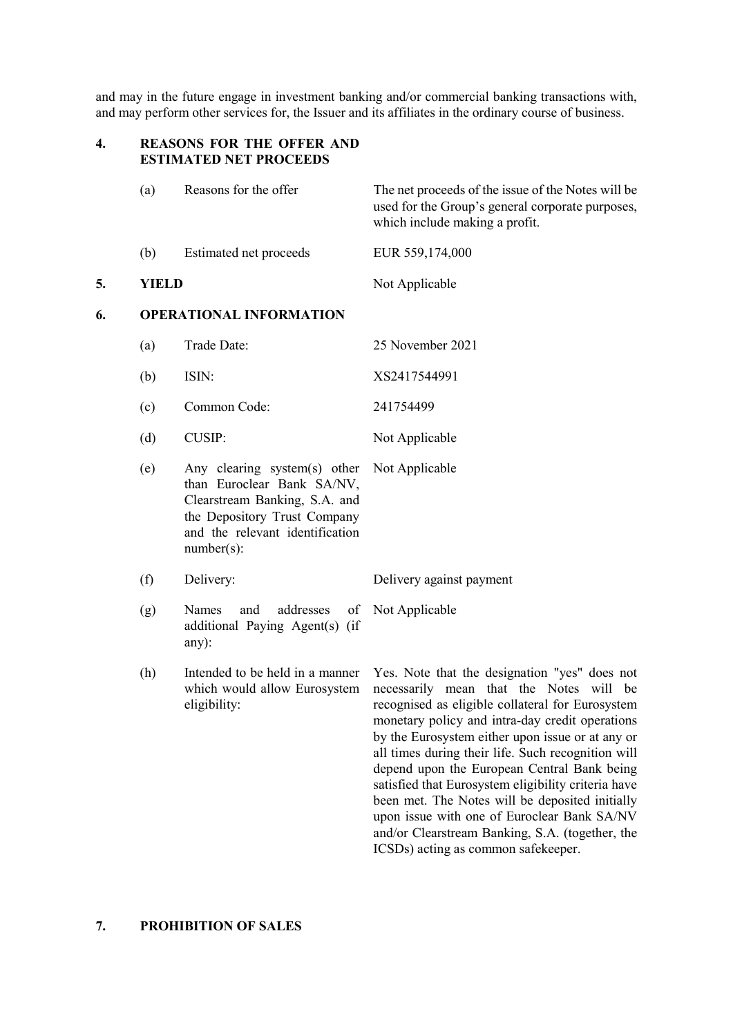and may in the future engage in investment banking and/or commercial banking transactions with, and may perform other services for, the Issuer and its affiliates in the ordinary course of business.

# 4. REASONS FOR THE OFFER AND ESTIMATED NET PROCEEDS

|    | (a)              | Reasons for the offer                                                                                                                                                           | The net proceeds of the issue of the Notes will be<br>used for the Group's general corporate purposes,<br>which include making a profit.                                                                                                                                                                                                                                                                                                                                                                                                                             |  |  |
|----|------------------|---------------------------------------------------------------------------------------------------------------------------------------------------------------------------------|----------------------------------------------------------------------------------------------------------------------------------------------------------------------------------------------------------------------------------------------------------------------------------------------------------------------------------------------------------------------------------------------------------------------------------------------------------------------------------------------------------------------------------------------------------------------|--|--|
|    | (b)              | Estimated net proceeds                                                                                                                                                          | EUR 559,174,000                                                                                                                                                                                                                                                                                                                                                                                                                                                                                                                                                      |  |  |
| 5. | <b>YIELD</b>     |                                                                                                                                                                                 | Not Applicable                                                                                                                                                                                                                                                                                                                                                                                                                                                                                                                                                       |  |  |
| 6. |                  | <b>OPERATIONAL INFORMATION</b>                                                                                                                                                  |                                                                                                                                                                                                                                                                                                                                                                                                                                                                                                                                                                      |  |  |
|    | (a)              | Trade Date:                                                                                                                                                                     | 25 November 2021                                                                                                                                                                                                                                                                                                                                                                                                                                                                                                                                                     |  |  |
|    | (b)              | ISIN:                                                                                                                                                                           | XS2417544991                                                                                                                                                                                                                                                                                                                                                                                                                                                                                                                                                         |  |  |
|    | (c)              | Common Code:                                                                                                                                                                    | 241754499                                                                                                                                                                                                                                                                                                                                                                                                                                                                                                                                                            |  |  |
|    | (d)              | <b>CUSIP:</b>                                                                                                                                                                   | Not Applicable                                                                                                                                                                                                                                                                                                                                                                                                                                                                                                                                                       |  |  |
|    | (e)              | Any clearing system(s) other<br>than Euroclear Bank SA/NV,<br>Clearstream Banking, S.A. and<br>the Depository Trust Company<br>and the relevant identification<br>$number(s)$ : | Not Applicable                                                                                                                                                                                                                                                                                                                                                                                                                                                                                                                                                       |  |  |
|    | (f)<br>Delivery: |                                                                                                                                                                                 | Delivery against payment                                                                                                                                                                                                                                                                                                                                                                                                                                                                                                                                             |  |  |
|    | (g)              | Names<br>addresses<br>and<br>additional Paying Agent(s) (if<br>any):                                                                                                            | of Not Applicable                                                                                                                                                                                                                                                                                                                                                                                                                                                                                                                                                    |  |  |
|    | (h)              | Intended to be held in a manner<br>which would allow Eurosystem<br>eligibility:                                                                                                 | Yes. Note that the designation "yes" does not<br>necessarily mean that the Notes will be<br>recognised as eligible collateral for Eurosystem<br>monetary policy and intra-day credit operations<br>by the Eurosystem either upon issue or at any or<br>all times during their life. Such recognition will<br>depend upon the European Central Bank being<br>satisfied that Eurosystem eligibility criteria have<br>been met. The Notes will be deposited initially<br>upon issue with one of Euroclear Bank SA/NV<br>and/or Clearstream Banking, S.A. (together, the |  |  |

ICSDs) acting as common safekeeper.

# 7. PROHIBITION OF SALES